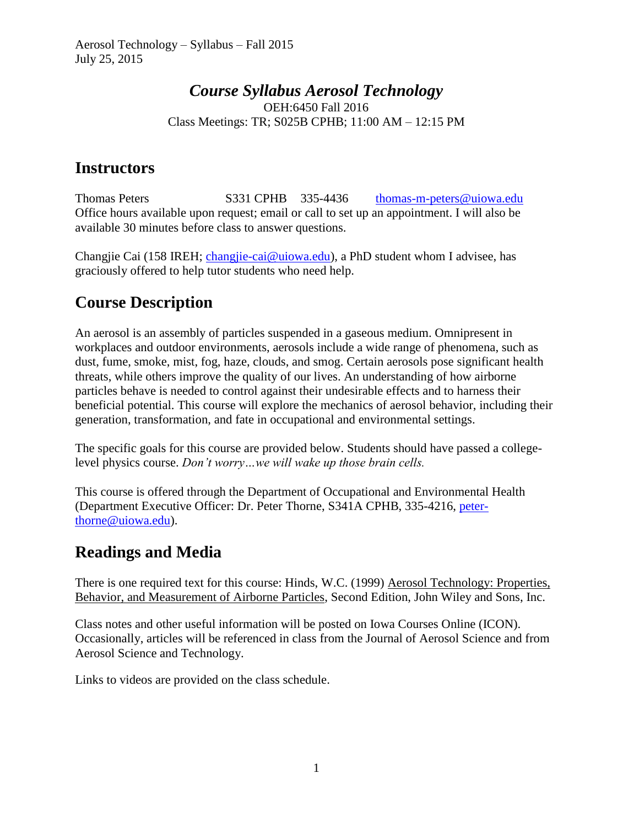### *Course Syllabus Aerosol Technology* OEH:6450 Fall 2016 Class Meetings: TR; S025B CPHB; 11:00 AM – 12:15 PM

### **Instructors**

Thomas Peters S331 CPHB 335-4436 [thomas-m-peters@uiowa.edu](mailto:thomas-m-peters@uiowa.edu) Office hours available upon request; email or call to set up an appointment. I will also be available 30 minutes before class to answer questions.

Changjie Cai (158 IREH; [changjie-cai@uiowa.edu\)](mailto:changjie-cai@uiowa.edu), a PhD student whom I advisee, has graciously offered to help tutor students who need help.

# **Course Description**

An aerosol is an assembly of particles suspended in a gaseous medium. Omnipresent in workplaces and outdoor environments, aerosols include a wide range of phenomena, such as dust, fume, smoke, mist, fog, haze, clouds, and smog. Certain aerosols pose significant health threats, while others improve the quality of our lives. An understanding of how airborne particles behave is needed to control against their undesirable effects and to harness their beneficial potential. This course will explore the mechanics of aerosol behavior, including their generation, transformation, and fate in occupational and environmental settings.

The specific goals for this course are provided below. Students should have passed a collegelevel physics course. *Don't worry…we will wake up those brain cells.*

This course is offered through the Department of Occupational and Environmental Health (Department Executive Officer: Dr. Peter Thorne, S341A CPHB, 335-4216, [peter](mailto:peter-thorne@uiowa.edu)[thorne@uiowa.edu\)](mailto:peter-thorne@uiowa.edu).

### **Readings and Media**

There is one required text for this course: Hinds, W.C. (1999) Aerosol Technology: Properties, Behavior, and Measurement of Airborne Particles, Second Edition, John Wiley and Sons, Inc.

Class notes and other useful information will be posted on Iowa Courses Online (ICON). Occasionally, articles will be referenced in class from the Journal of Aerosol Science and from Aerosol Science and Technology.

Links to videos are provided on the class schedule.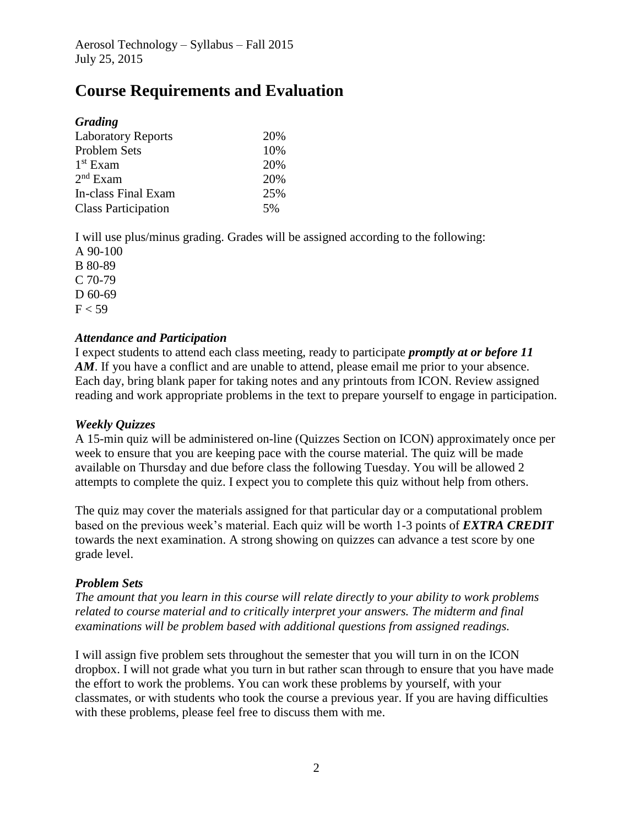## **Course Requirements and Evaluation**

| 20% |
|-----|
| 10% |
| 20% |
| 20% |
| 25% |
| .5% |
|     |

I will use plus/minus grading. Grades will be assigned according to the following:

A 90-100 B 80-89 C 70-79 D 60-69  $F < 59$ 

#### *Attendance and Participation*

I expect students to attend each class meeting, ready to participate *promptly at or before 11*  AM. If you have a conflict and are unable to attend, please email me prior to your absence. Each day, bring blank paper for taking notes and any printouts from ICON. Review assigned reading and work appropriate problems in the text to prepare yourself to engage in participation.

#### *Weekly Quizzes*

A 15-min quiz will be administered on-line (Quizzes Section on ICON) approximately once per week to ensure that you are keeping pace with the course material. The quiz will be made available on Thursday and due before class the following Tuesday. You will be allowed 2 attempts to complete the quiz. I expect you to complete this quiz without help from others.

The quiz may cover the materials assigned for that particular day or a computational problem based on the previous week's material. Each quiz will be worth 1-3 points of *EXTRA CREDIT* towards the next examination. A strong showing on quizzes can advance a test score by one grade level.

#### *Problem Sets*

*The amount that you learn in this course will relate directly to your ability to work problems related to course material and to critically interpret your answers. The midterm and final examinations will be problem based with additional questions from assigned readings.*

I will assign five problem sets throughout the semester that you will turn in on the ICON dropbox. I will not grade what you turn in but rather scan through to ensure that you have made the effort to work the problems. You can work these problems by yourself, with your classmates, or with students who took the course a previous year. If you are having difficulties with these problems, please feel free to discuss them with me.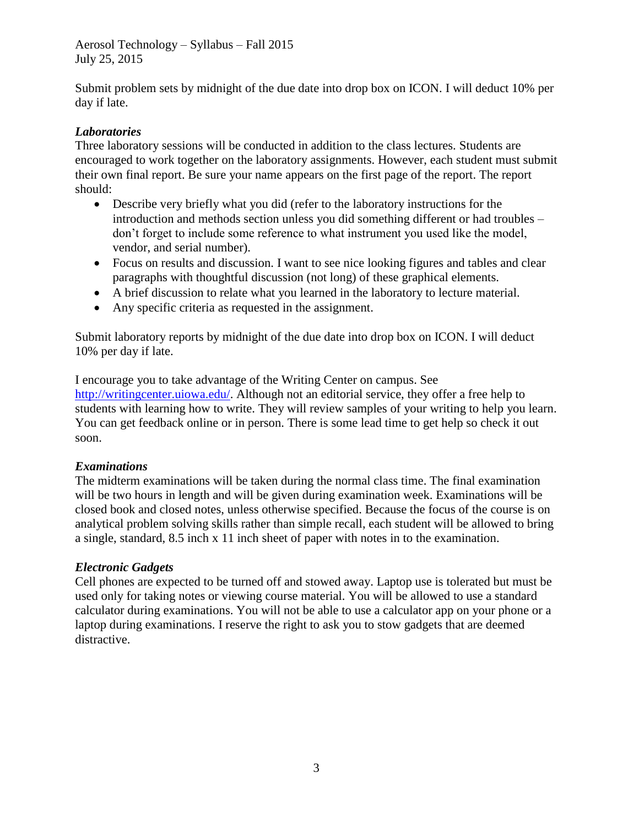Aerosol Technology – Syllabus – Fall 2015 July 25, 2015

Submit problem sets by midnight of the due date into drop box on ICON. I will deduct 10% per day if late.

#### *Laboratories*

Three laboratory sessions will be conducted in addition to the class lectures. Students are encouraged to work together on the laboratory assignments. However, each student must submit their own final report. Be sure your name appears on the first page of the report. The report should:

- Describe very briefly what you did (refer to the laboratory instructions for the introduction and methods section unless you did something different or had troubles – don't forget to include some reference to what instrument you used like the model, vendor, and serial number).
- Focus on results and discussion. I want to see nice looking figures and tables and clear paragraphs with thoughtful discussion (not long) of these graphical elements.
- A brief discussion to relate what you learned in the laboratory to lecture material.
- Any specific criteria as requested in the assignment.

Submit laboratory reports by midnight of the due date into drop box on ICON. I will deduct 10% per day if late.

I encourage you to take advantage of the Writing Center on campus. See [http://writingcenter.uiowa.edu/.](http://writingcenter.uiowa.edu/) Although not an editorial service, they offer a free help to students with learning how to write. They will review samples of your writing to help you learn. You can get feedback online or in person. There is some lead time to get help so check it out soon.

#### *Examinations*

The midterm examinations will be taken during the normal class time. The final examination will be two hours in length and will be given during examination week. Examinations will be closed book and closed notes, unless otherwise specified. Because the focus of the course is on analytical problem solving skills rather than simple recall, each student will be allowed to bring a single, standard, 8.5 inch x 11 inch sheet of paper with notes in to the examination.

#### *Electronic Gadgets*

Cell phones are expected to be turned off and stowed away. Laptop use is tolerated but must be used only for taking notes or viewing course material. You will be allowed to use a standard calculator during examinations. You will not be able to use a calculator app on your phone or a laptop during examinations. I reserve the right to ask you to stow gadgets that are deemed distractive.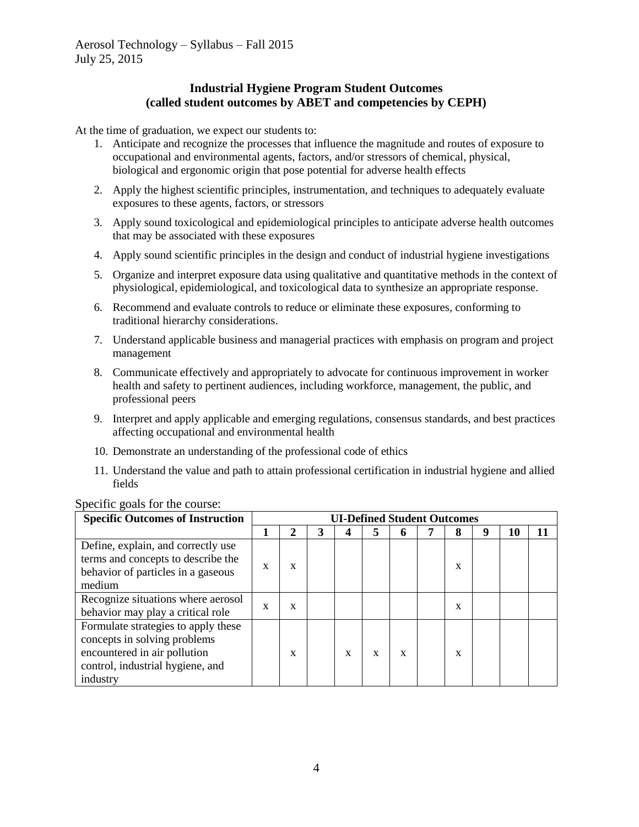#### **Industrial Hygiene Program Student Outcomes (called student outcomes by ABET and competencies by CEPH)**

At the time of graduation, we expect our students to:

- 1. Anticipate and recognize the processes that influence the magnitude and routes of exposure to occupational and environmental agents, factors, and/or stressors of chemical, physical, biological and ergonomic origin that pose potential for adverse health effects
- 2. Apply the highest scientific principles, instrumentation, and techniques to adequately evaluate exposures to these agents, factors, or stressors
- 3. Apply sound toxicological and epidemiological principles to anticipate adverse health outcomes that may be associated with these exposures
- 4. Apply sound scientific principles in the design and conduct of industrial hygiene investigations
- 5. Organize and interpret exposure data using qualitative and quantitative methods in the context of physiological, epidemiological, and toxicological data to synthesize an appropriate response.
- 6. Recommend and evaluate controls to reduce or eliminate these exposures, conforming to traditional hierarchy considerations.
- 7. Understand applicable business and managerial practices with emphasis on program and project management
- 8. Communicate effectively and appropriately to advocate for continuous improvement in worker health and safety to pertinent audiences, including workforce, management, the public, and professional peers
- 9. Interpret and apply applicable and emerging regulations, consensus standards, and best practices affecting occupational and environmental health
- 10. Demonstrate an understanding of the professional code of ethics
- 11. Understand the value and path to attain professional certification in industrial hygiene and allied fields

| <b>Specific Outcomes of Instruction</b>                                                                                                             | <b>UI-Defined Student Outcomes</b> |   |  |             |   |   |  |   |  |    |    |
|-----------------------------------------------------------------------------------------------------------------------------------------------------|------------------------------------|---|--|-------------|---|---|--|---|--|----|----|
|                                                                                                                                                     |                                    |   |  |             | 5 | o |  | 8 |  | 10 | 11 |
| Define, explain, and correctly use<br>terms and concepts to describe the<br>behavior of particles in a gaseous<br>medium                            | X                                  | X |  |             |   |   |  | x |  |    |    |
| Recognize situations where aerosol<br>behavior may play a critical role                                                                             | X                                  | X |  |             |   |   |  | x |  |    |    |
| Formulate strategies to apply these<br>concepts in solving problems<br>encountered in air pollution<br>control, industrial hygiene, and<br>industry |                                    | X |  | $\mathbf x$ | X | X |  | X |  |    |    |

#### Specific goals for the course: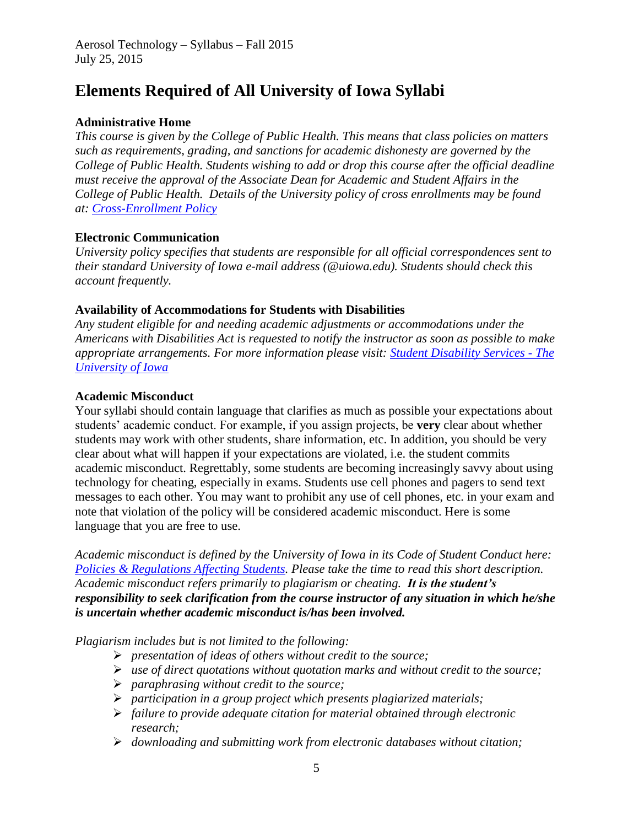## **Elements Required of All University of Iowa Syllabi**

### **Administrative Home**

*This course is given by the College of Public Health. This means that class policies on matters such as requirements, grading, and sanctions for academic dishonesty are governed by the College of Public Health. Students wishing to add or drop this course after the official deadline must receive the approval of the Associate Dean for Academic and Student Affairs in the College of Public Health. Details of the University policy of cross enrollments may be found at: [Cross-Enrollment Policy](http://test.sitenow.uiowa.edu/provost/files/provost.uiowa.edu/files/crossenroll.pdf)*

#### **Electronic Communication**

*University policy specifies that students are responsible for all official correspondences sent to their standard University of Iowa e-mail address (@uiowa.edu). Students should check this account frequently.* 

#### **Availability of Accommodations for Students with Disabilities**

*Any student eligible for and needing academic adjustments or accommodations under the Americans with Disabilities Act is requested to notify the instructor as soon as possible to make appropriate arrangements. For more information please visit: [Student Disability Services -](http://sds.studentlife.uiowa.edu/) The [University of Iowa](http://sds.studentlife.uiowa.edu/)*

#### **Academic Misconduct**

Your syllabi should contain language that clarifies as much as possible your expectations about students' academic conduct. For example, if you assign projects, be **very** clear about whether students may work with other students, share information, etc. In addition, you should be very clear about what will happen if your expectations are violated, i.e. the student commits academic misconduct. Regrettably, some students are becoming increasingly savvy about using technology for cheating, especially in exams. Students use cell phones and pagers to send text messages to each other. You may want to prohibit any use of cell phones, etc. in your exam and note that violation of the policy will be considered academic misconduct. Here is some language that you are free to use.

*Academic misconduct is defined by the University of Iowa in its Code of Student Conduct here: [Policies & Regulations Affecting Students.](http://dos.uiowa.edu/policies/) Please take the time to read this short description. Academic misconduct refers primarily to plagiarism or cheating. It is the student's responsibility to seek clarification from the course instructor of any situation in which he/she is uncertain whether academic misconduct is/has been involved.* 

*Plagiarism includes but is not limited to the following:*

- *presentation of ideas of others without credit to the source;*
- *use of direct quotations without quotation marks and without credit to the source;*
- *paraphrasing without credit to the source;*
- *participation in a group project which presents plagiarized materials;*
- *failure to provide adequate citation for material obtained through electronic research;*
- *downloading and submitting work from electronic databases without citation;*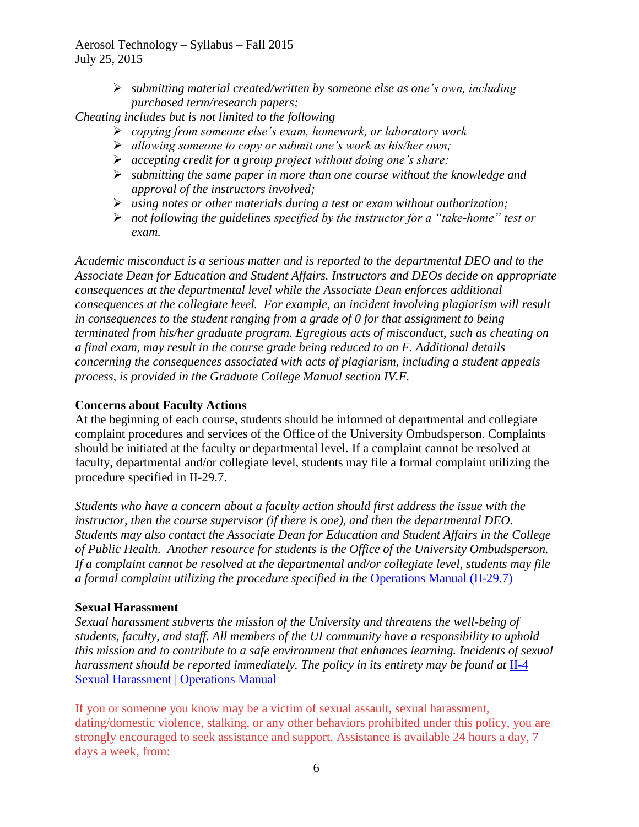Aerosol Technology – Syllabus – Fall 2015 July 25, 2015

> *submitting material created/written by someone else as one's own, including purchased term/research papers;*

*Cheating includes but is not limited to the following*

- *copying from someone else's exam, homework, or laboratory work*
- *allowing someone to copy or submit one's work as his/her own;*
- *accepting credit for a group project without doing one's share;*
- *submitting the same paper in more than one course without the knowledge and approval of the instructors involved;*
- *using notes or other materials during a test or exam without authorization;*
- *not following the guidelines specified by the instructor for a "take-home" test or exam.*

*Academic misconduct is a serious matter and is reported to the departmental DEO and to the Associate Dean for Education and Student Affairs. Instructors and DEOs decide on appropriate consequences at the departmental level while the Associate Dean enforces additional consequences at the collegiate level. For example, an incident involving plagiarism will result in consequences to the student ranging from a grade of 0 for that assignment to being terminated from his/her graduate program. Egregious acts of misconduct, such as cheating on a final exam, may result in the course grade being reduced to an F. Additional details concerning the consequences associated with acts of plagiarism, including a student appeals process, is provided in the Graduate College Manual section IV.F.* 

#### **Concerns about Faculty Actions**

At the beginning of each course, students should be informed of departmental and collegiate complaint procedures and services of the Office of the University Ombudsperson. Complaints should be initiated at the faculty or departmental level. If a complaint cannot be resolved at faculty, departmental and/or collegiate level, students may file a formal complaint utilizing the procedure specified in II-29.7.

*Students who have a concern about a faculty action should first address the issue with the instructor, then the course supervisor (if there is one), and then the departmental DEO. Students may also contact the Associate Dean for Education and Student Affairs in the College of Public Health. Another resource for students is the Office of the University Ombudsperson. If a complaint cannot be resolved at the departmental and/or collegiate level, students may file a formal complaint utilizing the procedure specified in the [Operations Manual \(II-29.7\)](http://www.uiowa.edu/~our/opmanual/ii/29.htm)* 

#### **Sexual Harassment**

*Sexual harassment subverts the mission of the University and threatens the well-being of students, faculty, and staff. All members of the UI community have a responsibility to uphold this mission and to contribute to a safe environment that enhances learning. Incidents of sexual harassment should be reported immediately. The policy in its entirety may be found at II-4* [Sexual Harassment | Operations Manual](http://opsmanual.uiowa.edu/ii-4-sexual-harassment)

If you or someone you know may be a victim of sexual assault, sexual harassment, dating/domestic violence, stalking, or any other behaviors prohibited under this policy, you are strongly encouraged to seek assistance and support. Assistance is available 24 hours a day, 7 days a week, from: